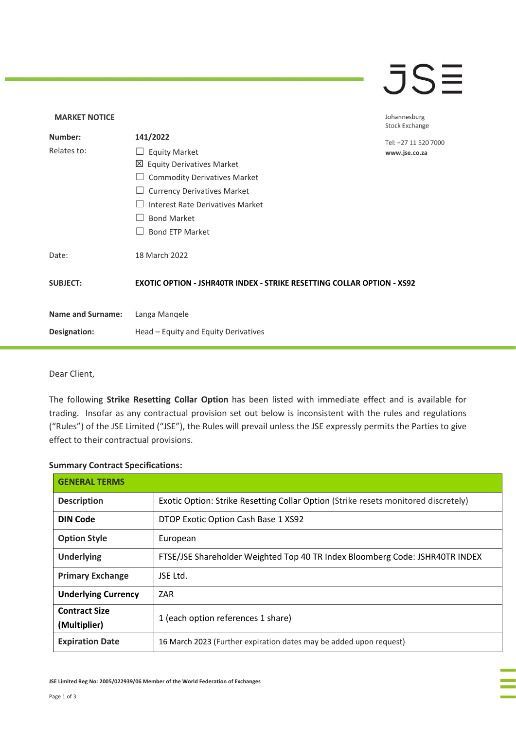## $\overline{\mathsf{J}}\mathsf{S}\overline{\mathsf{H}}$

## **MARKET NOTICE** Johannesburg **Stock Exchange Number: 141/2022** Tel: +27 11 520 7000 Relates to: □ Equity Market www.jse.co.za Equity Derivatives Market □ Commodity Derivatives Market □ Currency Derivatives Market ☐ Interest Rate Derivatives Market ☐ Bond Market □ Bond ETP Market Date: 18 March 2022 **SUBJECT: EXOTIC OPTION - JSHR40TR INDEX - STRIKE RESETTING COLLAR OPTION - XS92 Name and Surname:** Langa Manqele **Designation:** Head – Equity and Equity Derivatives

Dear Client,

The following **Strike Resetting Collar Option** has been listed with immediate effect and is available for trading. Insofar as any contractual provision set out below is inconsistent with the rules and regulations ("Rules") of the JSE Limited ("JSE"), the Rules will prevail unless the JSE expressly permits the Parties to give effect to their contractual provisions.

## **Summary Contract Specifications:**

| <b>GENERAL TERMS</b>                 |                                                                                    |
|--------------------------------------|------------------------------------------------------------------------------------|
| <b>Description</b>                   | Exotic Option: Strike Resetting Collar Option (Strike resets monitored discretely) |
| <b>DIN Code</b>                      | DTOP Exotic Option Cash Base 1 XS92                                                |
| <b>Option Style</b>                  | European                                                                           |
| <b>Underlying</b>                    | FTSE/JSE Shareholder Weighted Top 40 TR Index Bloomberg Code: JSHR40TR INDEX       |
| <b>Primary Exchange</b>              | JSE Ltd.                                                                           |
| <b>Underlying Currency</b>           | ZAR                                                                                |
| <b>Contract Size</b><br>(Multiplier) | 1 (each option references 1 share)                                                 |
| <b>Expiration Date</b>               | 16 March 2023 (Further expiration dates may be added upon request)                 |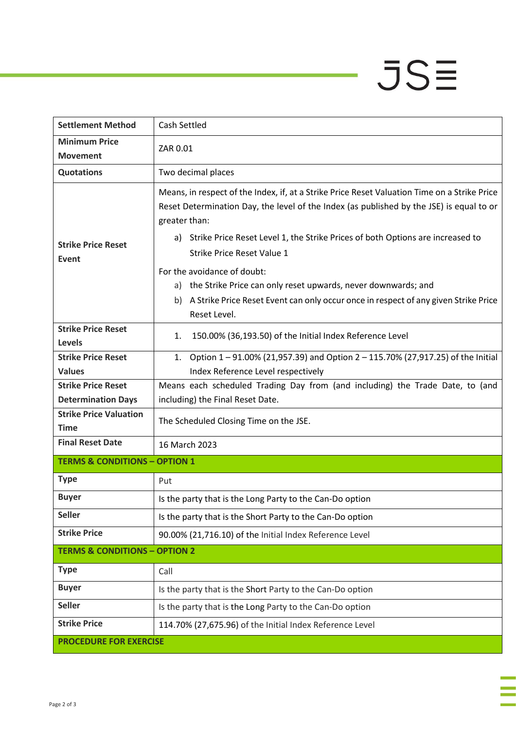## $JSE$

| <b>Settlement Method</b>                                   | <b>Cash Settled</b>                                                                                                                                                                                                                                                                                                                 |  |
|------------------------------------------------------------|-------------------------------------------------------------------------------------------------------------------------------------------------------------------------------------------------------------------------------------------------------------------------------------------------------------------------------------|--|
| <b>Minimum Price</b><br><b>Movement</b>                    | ZAR 0.01                                                                                                                                                                                                                                                                                                                            |  |
| <b>Quotations</b>                                          | Two decimal places                                                                                                                                                                                                                                                                                                                  |  |
| <b>Strike Price Reset</b><br>Event                         | Means, in respect of the Index, if, at a Strike Price Reset Valuation Time on a Strike Price<br>Reset Determination Day, the level of the Index (as published by the JSE) is equal to or<br>greater than:<br>a) Strike Price Reset Level 1, the Strike Prices of both Options are increased to<br><b>Strike Price Reset Value 1</b> |  |
|                                                            | For the avoidance of doubt:<br>a) the Strike Price can only reset upwards, never downwards; and<br>A Strike Price Reset Event can only occur once in respect of any given Strike Price<br>b).<br>Reset Level.                                                                                                                       |  |
| <b>Strike Price Reset</b><br>Levels                        | 150.00% (36,193.50) of the Initial Index Reference Level<br>1.                                                                                                                                                                                                                                                                      |  |
| <b>Strike Price Reset</b>                                  | Option 1-91.00% (21,957.39) and Option 2-115.70% (27,917.25) of the Initial<br>1.                                                                                                                                                                                                                                                   |  |
| <b>Values</b>                                              | Index Reference Level respectively                                                                                                                                                                                                                                                                                                  |  |
| <b>Strike Price Reset</b>                                  | Means each scheduled Trading Day from (and including) the Trade Date, to (and                                                                                                                                                                                                                                                       |  |
| <b>Determination Days</b><br><b>Strike Price Valuation</b> | including) the Final Reset Date.                                                                                                                                                                                                                                                                                                    |  |
| <b>Time</b>                                                | The Scheduled Closing Time on the JSE.                                                                                                                                                                                                                                                                                              |  |
| <b>Final Reset Date</b>                                    | 16 March 2023                                                                                                                                                                                                                                                                                                                       |  |
| <b>TERMS &amp; CONDITIONS - OPTION 1</b>                   |                                                                                                                                                                                                                                                                                                                                     |  |
| <b>Type</b>                                                | Put                                                                                                                                                                                                                                                                                                                                 |  |
| <b>Buyer</b>                                               | Is the party that is the Long Party to the Can-Do option                                                                                                                                                                                                                                                                            |  |
| <b>Seller</b>                                              | Is the party that is the Short Party to the Can-Do option                                                                                                                                                                                                                                                                           |  |
| <b>Strike Price</b>                                        | 90.00% (21,716.10) of the Initial Index Reference Level                                                                                                                                                                                                                                                                             |  |
| <b>TERMS &amp; CONDITIONS - OPTION 2</b>                   |                                                                                                                                                                                                                                                                                                                                     |  |
| <b>Type</b>                                                | Call                                                                                                                                                                                                                                                                                                                                |  |
| <b>Buyer</b>                                               | Is the party that is the Short Party to the Can-Do option                                                                                                                                                                                                                                                                           |  |
| <b>Seller</b>                                              | Is the party that is the Long Party to the Can-Do option                                                                                                                                                                                                                                                                            |  |
| <b>Strike Price</b>                                        | 114.70% (27,675.96) of the Initial Index Reference Level                                                                                                                                                                                                                                                                            |  |
| <b>PROCEDURE FOR EXERCISE</b>                              |                                                                                                                                                                                                                                                                                                                                     |  |